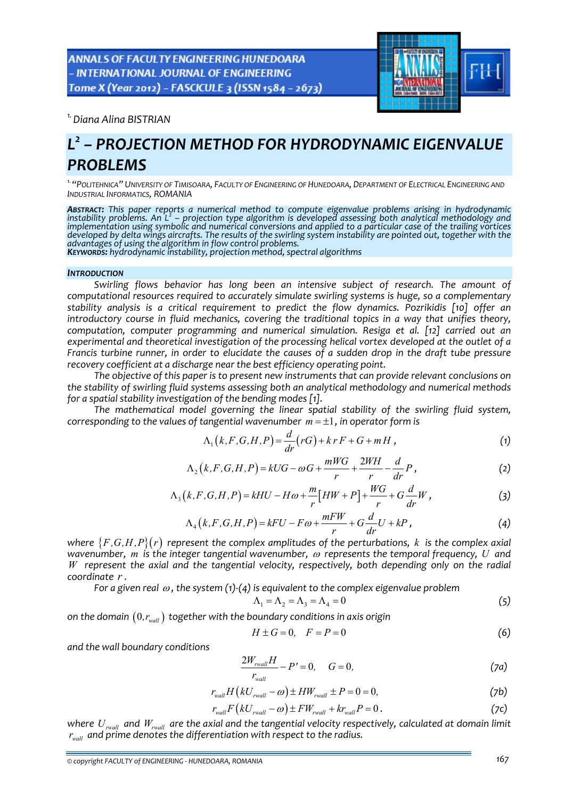ANNALS OF FACULTY ENGINEERING HUNEDOARA - INTERNATIONAL JOURNAL OF ENGINEERING Tome X (Year 2012) - FASCICULE 3 (ISSN 1584 - 2673)



*1.Diana Alina BISTRIAN* 

# *L<sup>2</sup> – PROJECTION METHOD FOR HYDRODYNAMIC EIGENVALUE PROBLEMS*

*1."POLITEHNICA" UNIVERSITY OF TIMISOARA, FACULTY OF ENGINEERING OF HUNEDOARA, DEPARTMENT OF ELECTRICAL ENGINEERING AND INDUSTRIAL INFORMATICS, ROMANIA*

**Abstract:** This paper reports a numerical method to compute eigenvalue problems arising in hydrodynamic<br>instability problems. An L² – projection type algorithm is developed assessing both analytical methodology and implementation using symbolic and numerical conversions and applied to a particular case of the trailing vortices developed by delta wings aircrafts. The results of the swirling system instability are pointed out, together with the advantages of using the algorithm in flow control problems. KEYWORDS: hydrodynamic instability, projection method, spectral algorithms

#### *INTRODUCTION*

*Swirling flows behavior has long been an intensive subject of research. The amount of computational resources required to accurately simulate swirling systems is huge, so a complementary stability analysis is a critical requirement to predict the flow dynamics. Pozrikidis [10] offer an introductory course in fluid mechanics, covering the traditional topics in a way that unifies theory, computation, computer programming and numerical simulation. Resiga et al. [12] carried out an experimental and theoretical investigation of the processing helical vortex developed at the outlet of a* Francis turbine runner, in order to elucidate the causes of a sudden drop in the draft tube pressure *recovery coefficient at a discharge near the best efficiency operating point.* 

*The objective of this paper is to present new instruments that can provide relevant conclusions on the stability of swirling fluid systems assessing both an analytical methodology and numerical methods for a spatial stability investigation of the bending modes [1].*

*The mathematical model governing the linear spatial stability of the swirling fluid system, corresponding to the values of tangential wavenumber*  $m = \pm 1$ *, in operator form is* 

$$
\Lambda_1(k, F, G, H, P) = \frac{d}{dr}(rG) + krF + G + mH,
$$
\n(1)

$$
\Lambda_2(k, F, G, H, P) = kUG - \omega G + \frac{mWG}{r} + \frac{2WH}{r} - \frac{d}{dr}P,
$$
\n(2)

$$
\Lambda_3(k, F, G, H, P) = kHU - H\omega + \frac{m}{r}[HW + P] + \frac{WG}{r} + G\frac{d}{dr}W,
$$
\n(3)

$$
\Lambda_4(k, F, G, H, P) = kFU - F\omega + \frac{mFW}{r} + G\frac{d}{dr}U + kP,
$$
\n(4)

*where*  ${F, G, H, P}$   $(r)$  *represent the complex amplitudes of the perturbations, k is the complex axial wavenumber, m is the integer tangential wavenumber,* <sup>ω</sup> *represents the temporal frequency, U and W represent the axial and the tangential velocity, respectively, both depending only on the radial coordinate r .*

*For a given real*  $\omega$ , the system (1)<sup> $-(4)$ </sup> *is equivalent to the complex eigenvalue problem* 

$$
\Lambda_1 = \Lambda_2 = \Lambda_3 = \Lambda_4 = 0 \tag{5}
$$

*on the domain* (0*,rwall* ) *together with the boundary conditions in axis origin*

$$
H \pm G = 0, \quad F = P = 0 \tag{6}
$$

*and the wall boundary conditions* 

$$
\frac{2W_{\text{rwall}}H}{r_{\text{wall}}} - P' = 0, \quad G = 0,
$$
 (7a)

$$
r_{wall}H(kU_{rwall} - \omega) \pm HW_{rwall} \pm P = 0 = 0,
$$
 (7b)

$$
r_{wall}F(kU_{rwall} - \omega) \pm FW_{rwall} + kr_{wall}P = 0.
$$
 (7c)

*where Urwall and Wrwall are the axial and the tangential velocity respectively, calculated at domain limit wall r and prime denotes the differentiation with respect to the radius.*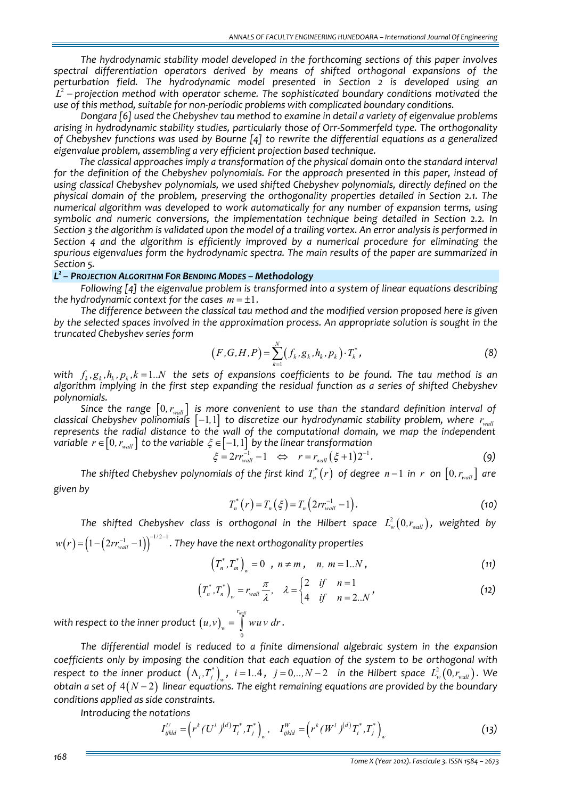*The hydrodynamic stability model developed in the forthcoming sections of this paper involves spectral differentiation operators derived by means of shifted orthogonal expansions of the*  $L^2$  – projection method with operator scheme. The sophisticated boundary conditions motivated the *use of this method, suitable for non‐periodic problems with complicated boundary conditions.*

*Dongara [6] used the Chebyshev tau method to examine in detail a variety of eigenvalue problems arising in hydrodynamic stability studies, particularly those of Orr‐Sommerfeld type. The orthogonality of Chebyshev functions was used by Bourne [4] to rewrite the differential equations as a generalized eigenvalue problem, assembling a very efficient projection based technique.* 

*The classical approaches imply a transformation of the physical domain onto the standard interval for the definition of the Chebyshev polynomials. For the approach presented in this paper, instead of using classical Chebyshev polynomials, we used shifted Chebyshev polynomials, directly defined on the physical domain of the problem, preserving the orthogonality properties detailed in Section 2.1. The numerical algorithm was developed to work automatically for any number of expansion terms, using symbolic and numeric conversions, the implementation technique being detailed in Section 2.2. In* Section 3 the algorithm is validated upon the model of a trailing vortex. An error analysis is performed in *Section 4 and the algorithm is efficiently improved by a numerical procedure for eliminating the spurious eigenvalues form the hydrodynamic spectra. The main results of the paper are summarized in Section 5.*

### *L2 – PROJECTION ALGORITHM FOR BENDING MODES – Methodology*

*Following [4] the eigenvalue problem is transformed into a system of linear equations describing the hydrodynamic context for the cases*  $m = \pm 1$ .

*The difference between the classical tau method and the modified version proposed here is given by the selected spaces involved in the approximation process. An appropriate solution is sought in the truncated Chebyshev series form* 

$$
(F, G, H, P) = \sum_{k=1}^{N} (f_k, g_k, h_k, p_k) \cdot T_k^*,
$$
 (8)

 $\mathcal{F}_{k}, \mathcal{G}_{k}, h_{k}, p_{k}, k=1..N$  the sets of expansions coefficients to be found. The tau method is an *algorithm implying in the first step expanding the residual function as a series of shifted Chebyshev polynomials.*

*Since the range* [ ] 0 *wall , r is more convenient to use than the standard definition interval of classical Chebyshev polinomials*  $\left[-1, 1\right]$  *to discretize our hydrodynamic stability problem, where*  $\left.r_{\rm wal}$ *represents the radial distance to the wall of the computational domain, we map the independent variable*  $r \in [0, r_{wall}]$  *to the variable*  $\xi \in [-1, 1]$  *by the linear transformation* 

$$
\xi = 2rr_{\text{wall}}^{-1} - 1 \quad \Leftrightarrow \quad r = r_{\text{wall}} \left( \xi + 1 \right) 2^{-1} . \tag{9}
$$

The shifted Chebyshev polynomials of the first kind  $T_n^*(r)$  of degree  $n-1$  in r on  $[0, r_{wall}]$  are *given by*

$$
T_n^*(r) = T_n(\xi) = T_n(2rr_{wall}^{-1} - 1).
$$
 (10)

*The shifted Chebyshev class is orthogonal in the Hilbert space*  $L_w^2(0, r_{wall})$ , *weighted by*  $w(r)\!=\!\left(\!1\!-\!\left(\!2rr_{\tiny wall}^{-1}\!-\!1\right)\!\right)^{\!-1/2-1}$  . They have the next orthogonality properties

$$
(T_n^*, T_m^*)_{w} = 0 \quad , \quad n \neq m \,, \quad n, \ m = 1..N \,, \tag{11}
$$

$$
\left(T_n^*, T_n^*\right)_w = r_{wall} \frac{\pi}{\lambda}, \quad \lambda = \begin{cases} 2 & \text{if } n = 1 \\ 4 & \text{if } n = 2..N \end{cases}
$$
 (12)

 $w$ ith respect to the inner product  $(u,v)$ 0 *wall r*  $(u,v)_w = \int w u v dr$ .

*The differential model is reduced to a finite dimensional algebraic system in the expansion coefficients only by imposing the condition that each equation of the system to be orthogonal with* respect to the inner product  $\left(\Lambda_i, T_j^*\right)_w$ ,  $i=1..4$ ,  $j=0,..,N-2$  in the Hilbert space  $L^2_w\left(0, r_{\textit{wall}}\right)$ . We *obtain a set of* 4 2 ( ) *N* − *linear equations. The eight remaining equations are provided by the boundary conditions applied as side constraints.*

*Introducing the notations* 

$$
I_{ijkl}^U = \left( r^k (U^l)^{(d)} T_i^*, T_j^* \right)_w, \quad I_{ijkl}^W = \left( r^k (W^l)^{(d)} T_i^*, T_j^* \right)_w
$$
\n(13)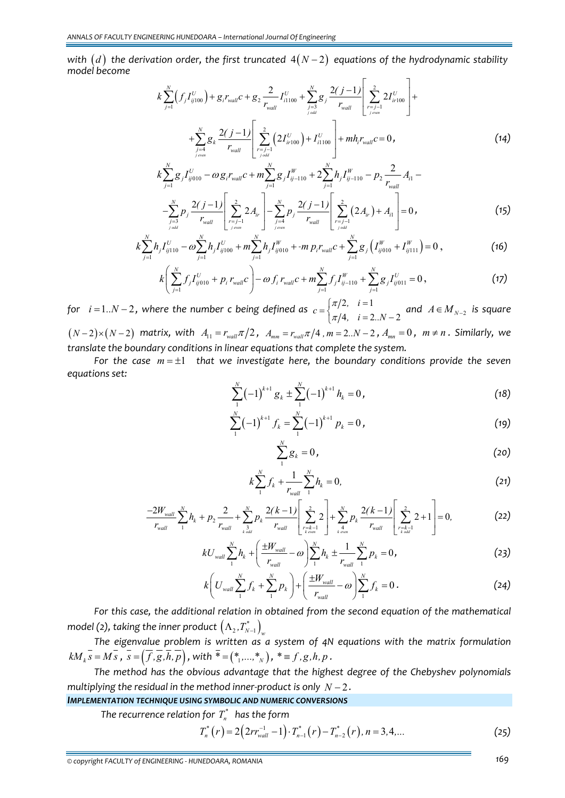*with*  $(d)$  *the derivation order, the first truncated*  $4(N-2)$  *equations of the hydrodynamic stability model become*

$$
k\sum_{j=1}^{N}\left(f_{j}I_{ij100}^{U}\right)+g_{i}r_{wall}c+g_{2}\frac{2}{r_{wall}}I_{i1100}^{U}+\sum_{\substack{j=3\\j\,odd}}^{N}g_{j}\frac{2(j-1)}{r_{wall}}\left[\sum_{\substack{r=j-1\\j\,even}}^{2}2I_{ir100}^{U}\right]+\n+\sum_{\substack{j=4\\j\,even}}^{N}g_{k}\frac{2(j-1)}{r_{wall}}\left[\sum_{\substack{r=j-1\\j\,odd}}^{2}\left(2I_{ir100}^{U}\right)+I_{i1100}^{U}\right]+mh_{i}r_{wall}c=0,
$$
\n(14)

$$
k\sum_{j=1}^{N}g_{j}I_{ij010}^{U} - \omega g_{i}r_{wall}c + m\sum_{j=1}^{N}g_{j}I_{ij-110}^{W} + 2\sum_{j=1}^{N}h_{j}I_{ij-110}^{W} - p_{2}\frac{2}{r_{wall}}A_{i1} - \sum_{j=3}^{N}p_{j}\frac{2(j-1)}{r_{wall}}\left[\sum_{r=j-1}^{2}2A_{ir}\right] - \sum_{j=4}^{N}p_{j}\frac{2(j-1)}{r_{wall}}\left[\sum_{r=j-1}^{2}(2A_{ir}) + A_{i1}\right] = 0,
$$
\n(15)

$$
k\sum_{j=1}^{N} h_j I_{ij110}^U - \omega \sum_{j=1}^{N} h_j I_{ij100}^U + m \sum_{j=1}^{N} h_j I_{ij010}^W + \cdot m p_i r_{wall}^U + \sum_{j=1}^{N} g_j \left( I_{ij010}^W + I_{ij111}^W \right) = 0,
$$
\n(16)

$$
k\left(\sum_{j=1}^{N} f_j I_{ij010}^U + p_i r_{wall}^{\prime} c\right) - \omega f_i r_{wall}^{\prime} c + m \sum_{j=1}^{N} f_j I_{ij-110}^W + \sum_{j=1}^{N} g_j I_{ij011}^U = 0,
$$
\n(17)

*for*  $i = 1..N - 2$ , where the number *c* being defined as  $c = \begin{cases} \pi/2, & i = 1 \end{cases}$ 4,  $i = 2..N - 2$  $c = \begin{cases} \pi/2, & i = 1 \\ \pi/4, & i = 2..N \end{cases}$ π  $=\begin{cases} \pi/2, & i=1 \ \pi/4, & i=2..N-2 \end{cases}$  and  $A \in M_{N-2}$  is square  $(N-2) \times (N-2)$  *matrix, with*  $A_{11} = r_{wall} \pi/2$ ,  $A_{mm} = r_{wall} \pi/4$ ,  $m = 2..N-2$ ,  $A_{mn} = 0$ ,  $m \neq n$ . Similarly, we *translate the boundary conditions in linear equations that complete the system.* 

*For the case m* = ±1 *that we investigate here, the boundary conditions provide the seven equations set:* 

$$
\sum_{1}^{N}(-1)^{k+1}g_{k} \pm \sum_{1}^{N}(-1)^{k+1}h_{k} = 0, \qquad (18)
$$

$$
\sum_{1}^{N}(-1)^{k+1}f_{k}=\sum_{1}^{N}(-1)^{k+1}p_{k}=0,
$$
\n(19)

$$
\sum_{1}^{N} g_k = 0, \t\t(20)
$$

$$
k\sum_{1}^{N}f_{k}+\frac{1}{r_{wall}}\sum_{1}^{N}h_{k}=0,
$$
\n(21)

$$
\frac{-2W_{wall}}{r_{wall}}\sum_{1}^{N}h_{k}+p_{2}\frac{2}{r_{wall}}+\sum_{\substack{k\text{ odd}\\k\text{ odd}}}\frac{2(k-1)}{r_{wall}}\left[\sum_{\substack{r=k-1\\k\text{ even}}}\frac{2}{r}\right]+\sum_{\substack{k\text{ odd}\\k\text{ even}}}\frac{2(k-1)}{r_{wall}}\left[\sum_{\substack{r=k-1\\k\text{ odd}}}\frac{2}{r}\right]=0,
$$
 (22)

$$
kU_{wall} \sum_{1}^{N} h_{k} + \left(\frac{\pm W_{wall}}{r_{wall}} - \omega\right) \sum_{1}^{N} h_{k} \pm \frac{1}{r_{wall}} \sum_{1}^{N} p_{k} = 0, \qquad (23)
$$

$$
k\bigg(U_{wall}\sum_{1}^{N}f_{k}+\sum_{1}^{N}p_{k}\bigg)+\bigg(\frac{\pm W_{wall}}{r_{wall}}-\omega\bigg)\sum_{1}^{N}f_{k}=0.
$$
 (24)

*For this case, the additional relation in obtained from the second equation of the mathematical model (2), <code>taking</code> the inner product*  $\left(\Lambda _2,T_{N-1}^{*}\right)_{\!{w}}$ 

*The eigenvalue problem is written as a system of 4N equations with the matrix formulation*  $kM_{k}$ <sub>s</sub> =  $M\overline{s}$ ,  $\overline{s} = (\overline{f}, \overline{g}, \overline{h}, \overline{p})$ , with  $\overline{*} = (*_{1}, ..., *_{N})$ ,  $\overline{*} = f, g, h, p$ .

*The method has the obvious advantage that the highest degree of the Chebyshev polynomials multiplying the residual in the method inner‐product is only N* − 2 *.*

#### *IMPLEMENTATION TECHNIQUE USING SYMBOLIC AND NUMERIC CONVERSIONS*

*The recurrence relation for*  $T_n^*$  *has the form* 

$$
T_n^*(r) = 2\left(2rr_{wall}^{-1} - 1\right) \cdot T_{n-1}^*(r) - T_{n-2}^*(r), n = 3, 4, \dots \tag{25}
$$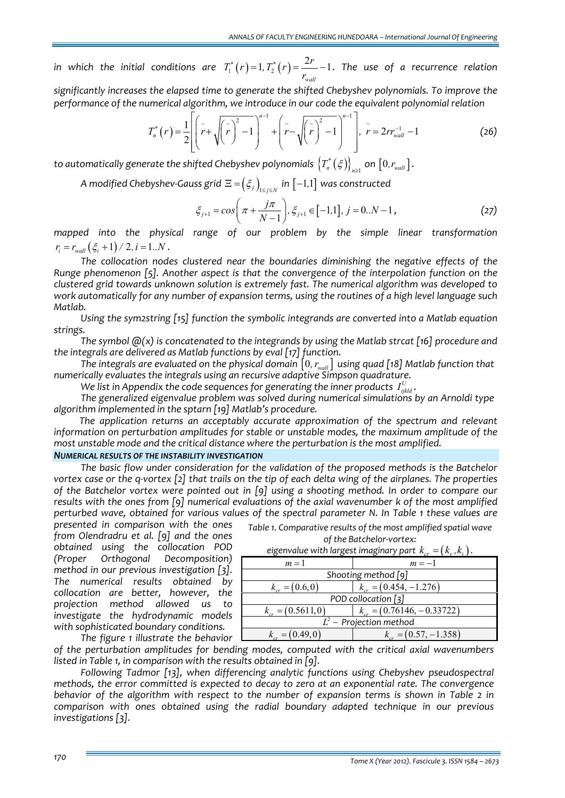*in* which the initial conditions are  $T_1^*\left(r\right)$  = 1,  $T_2^*\left(r\right)$  =  $\frac{2r}{\epsilon}$  – 1 *wall*  $T_1^*(r) = 1, T_2^*(r) = \frac{2r}{r_{wall}} - 1$ . The use of *a* recurrence relation *significantly increases the elapsed time to generate the shifted Chebyshev polynomials. To improve the*

*performance of the numerical algorithm, we introduce in our code the equivalent polynomial relation*

$$
T_n^*\left(r\right) = \frac{1}{2} \left[ \left( \tilde{r} + \sqrt{\left(\tilde{r}\right)^2 - 1} \right)^{n-1} + \left( \tilde{r} - \sqrt{\left(\tilde{r}\right)^2 - 1} \right)^{n-1} \right], \quad \tilde{r} = 2rr_{wall}^{-1} - 1 \tag{26}
$$

 $t$ o  $a$ utomatically  $a$ enerate the shifted Chebyshev polynomials  $\left\{T_n^*\left(\xi\right)\right\}_{n\geq1}$  on  $\left[0,r_{\textit{wall}}\right]$ .

*A* modified Chebyshev-Gauss grid  $\Xi = \left(\xi_j\right)_{1 \leq i \leq N}$  in  $[-1,1]$  was constructed

$$
\xi_{j+1} = \cos\left(\pi + \frac{j\pi}{N-1}\right), \xi_{j+1} \in [-1,1], j = 0..N-1,
$$
\n(27)

*mapped into the physical range of our problem by the simple linear transformation*  $r_i = r_{wall} (\xi_i + 1) / 2, i = 1..N$ .

*The collocation nodes clustered near the boundaries diminishing the negative effects of the Runge phenomenon [5]. Another aspect is that the convergence of the interpolation function on the clustered grid towards unknown solution is extremely fast. The numerical algorithm was developed to work automatically for any number of expansion terms, using the routines of a high level language such*  $Matlab.$ 

*Using the sym2string [15] function the symbolic integrands are converted into a Matlab equation strings.*

*The symbol @(x) is concatenated to the integrands by using the Matlab strcat [16] procedure and the integrals are delivered as Matlab functions by eval [17] function.* 

*The integrals are evaluated on the physical domain* [0*, rwall*] *using quad [18] Matlab function that numerically evaluates the integrals using an recursive adaptive Simpson quadrature.*

We list in Appendix the code sequences for generating the inner products  $I^U_{ijkld}$  .

*The generalized eigenvalue problem was solved during numerical simulations by an Arnoldi type algorithm implemented in the sptarn [19] Matlab's procedure.* 

*The application returns an acceptably accurate approximation of the spectrum and relevant information on perturbation amplitudes for stable or unstable modes, the maximum amplitude of the most unstable mode and the critical distance where the perturbation is the most amplified.*

#### *NUMERICAL RESULTS OF THE INSTABILITY INVESTIGATION*

*The basic flow under consideration for the validation of the proposed methods is the Batchelor* vortex case or the q-vortex  $[2]$  that trails on the tip of each delta wing of the airplanes. The properties *of the Batchelor vortex were pointed out in [9] using a shooting method. In order to compare our results with the ones from [9] numerical evaluations of the axial wavenumber k of the most amplified perturbed wave, obtained for various values of the spectral parameter N. In Table 1 these values are*

*presented in comparison with the ones from Olendradru et al. [9] and the ones obtained using the collocation POD (Proper Orthogonal Decomposition) method in our previous investigation [3]. The numerical results obtained by collocation are better, however, the projection method allowed us to investigate the hydrodynamic models with sophisticated boundary conditions. The figure 1 illustrate the behavior*

| Table 1. Comparative results of the most amplified spatial wave |
|-----------------------------------------------------------------|
| of the Batchelor-vortex:                                        |

|                        | $\alpha_{\text{c}}$ $\alpha_{\text{c}}$ $\alpha_{\text{c}}$ $\alpha_{\text{c}}$ $\alpha_{\text{c}}$ $\alpha_{\text{c}}$ $\alpha_{\text{c}}$ $\alpha_{\text{c}}$ $\alpha_{\text{c}}$ $\alpha_{\text{c}}$ $\alpha_{\text{c}}$ $\alpha_{\text{c}}$ $\alpha_{\text{c}}$ $\alpha_{\text{c}}$ $\alpha_{\text{c}}$ $\alpha_{\text{c}}$ $\alpha_{\text{c}}$ $\alpha_{\text{c}}$ $\alpha_{\text{c}}$ $\alpha_{\text{c}}$ |
|------------------------|-----------------------------------------------------------------------------------------------------------------------------------------------------------------------------------------------------------------------------------------------------------------------------------------------------------------------------------------------------------------------------------------------------------------|
| $m=1$                  | $m=-1$                                                                                                                                                                                                                                                                                                                                                                                                          |
| Shooting method [9]    |                                                                                                                                                                                                                                                                                                                                                                                                                 |
| $k_{cr} = (0.6, 0)$    | $k_{cr} = (0.454, -1.276)$                                                                                                                                                                                                                                                                                                                                                                                      |
|                        | POD collocation [3]                                                                                                                                                                                                                                                                                                                                                                                             |
| $k_{cr} = (0.5611, 0)$ | $k_{cr} = (0.76146, -0.33722)$                                                                                                                                                                                                                                                                                                                                                                                  |
|                        | $L^2$ – Projection method                                                                                                                                                                                                                                                                                                                                                                                       |
| $k_{cr} = (0.49, 0)$   | $k_{cr} = (0.57, -1.358)$                                                                                                                                                                                                                                                                                                                                                                                       |

*eigenvalue with largest imaginary part*  $k_{cr} = (k_r, k_i)$  *.* 

*of the perturbation amplitudes for bending modes, computed with the critical axial wavenumbers listed in Table 1, in comparison with the results obtained in [9].* 

*Following Tadmor [13], when differencing analytic functions using Chebyshev pseudospectral methods, the error committed is expected to decay to zero at an exponential rate. The convergence behavior of the algorithm with respect to the number of expansion terms is shown in Table 2 in comparison with ones obtained using the radial boundary adapted technique in our previous investigations [3].*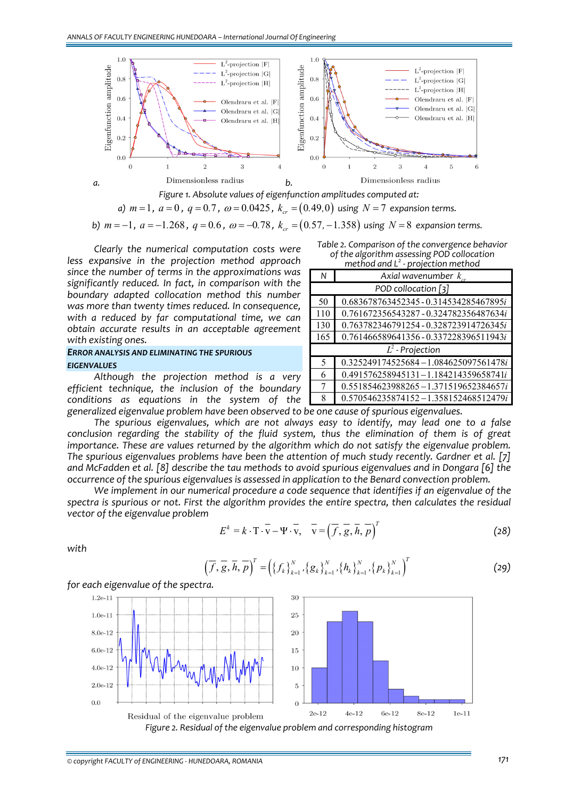

*Figure 1. Absolute values of eigenfunction amplitudes computed at: a)*  $m = 1$ ,  $a = 0$ ,  $q = 0.7$ ,  $\omega = 0.0425$ ,  $k_{cr} = (0.49, 0)$  using  $N = 7$  expansion terms.

*b*)  $m = -1$ ,  $a = -1.268$ ,  $q = 0.6$ ,  $\omega = -0.78$ ,  $k_{\alpha} = (0.57, -1.358)$  *using*  $N = 8$  *expansion terms.* 

*Clearly the numerical computation costs were less expansive in the projection method approach since the number of terms in the approximations was significantly reduced. In fact, in comparison with the boundary adapted collocation method this number was more than twenty times reduced. In consequence, with a reduced by far computational time, we can obtain accurate results in an acceptable agreement with existing ones.*

### *ERROR ANALYSIS AND ELIMINATING THE SPURIOUS EIGENVALUES*

*Although the projection method is a very efficient technique, the inclusion of the boundary conditions as equations in the system of the*

| Table 2. Comparison of the convergence behavior |
|-------------------------------------------------|
| of the algorithm assessing POD collocation      |
| method and $L^2$ - projection method            |

|                     | p. o.ccc.occoa                           |
|---------------------|------------------------------------------|
| N                   | Axial wavenumber $k_{cr}$                |
| POD collocation [3] |                                          |
| 50                  | 0.683678763452345-0.314534285467895i     |
| 110                 | 0.761672356543287 - 0.324782356487634i   |
| 130                 | 0.763782346791254 - 0.328723914726345i   |
| 165                 | 0.761466589641356 - 0.337228396511943i   |
| $L^2$ - Projection  |                                          |
| 5                   | 0.325249174525684-1.084625097561478i     |
| 6                   | 0.491576258945131-1.184214359658741i     |
| 7                   | $0.551854623988265 - 1.371519652384657i$ |
| 8                   | $0.570546235874152 - 1.358152468512479i$ |

*generalized eigenvalue problem have been observed to be one cause of spurious eigenvalues.*

*The spurious eigenvalues, which are not always easy to identify, may lead one to a false conclusion regarding the stability of the fluid system, thus the elimination of them is of great importance. These are values returned by the algorithm which do not satisfy the eigenvalue problem. The spurious eigenvalues problems have been the attention of much study recently. Gardner et al. [7]* and McFadden et al. [8] describe the tau methods to avoid spurious eigenvalues and in Dongara [6] the *occurrence of the spurious eigenvalues is assessed in application to the Benard convection problem.*

*We implement in our numerical procedure a code sequence that identifies if an eigenvalue of the spectra is spurious or not. First the algorithm provides the entire spectra, then calculates the residual vector of the eigenvalue problem*

$$
E^k = k \cdot \overline{T} \cdot \overline{v} - \Psi \cdot \overline{v}, \quad \overline{v} = (\overline{f}, \overline{g}, \overline{h}, \overline{p})^T
$$
 (28)

*with* 

$$
\left(\overline{f},\overline{g},\overline{h},\overline{p}\right)^{T}=\left(\left\{f_{k}\right\}_{k=1}^{N},\left\{g_{k}\right\}_{k=1}^{N},\left\{h_{k}\right\}_{k=1}^{N},\left\{p_{k}\right\}_{k=1}^{N}\right)^{T}
$$
(29)

*for each eigenvalue of the spectra.*



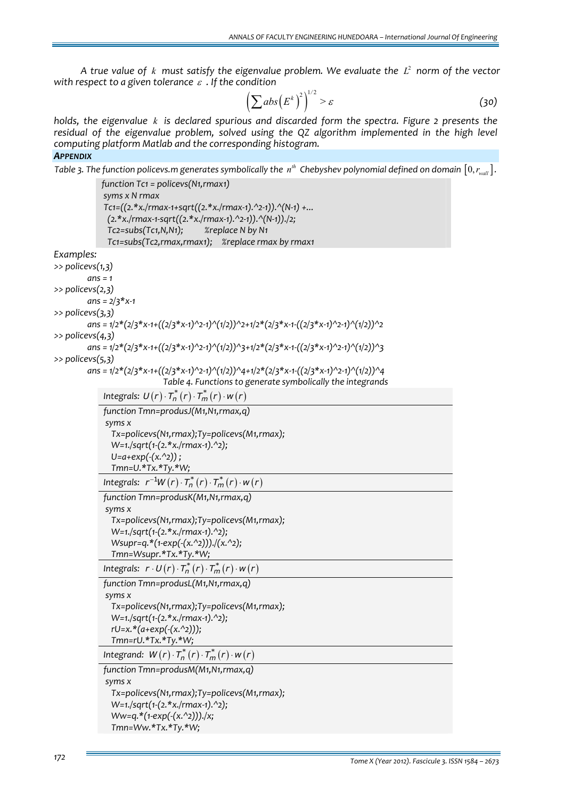*A true value* of *k must satisfy the eigenvalue problem.* We *evaluate the*  $L^2$  *norm* of *the vector with respect to a given tolerance* <sup>ε</sup> *. If the condition*

$$
\left(\sum abs\left(E^{k}\right)^{2}\right)^{1/2} > \varepsilon
$$
\n(30)

*holds, the eigenvalue k is declared spurious and discarded form the spectra. Figure 2 presents the residual of the eigenvalue problem, solved using the QZ algorithm implemented in the high level computing platform Matlab and the corresponding histogram. APPENDIX*

```
Table 3. The function policevs m generates symbolically the n^{th} Chebyshev polynomial defined on domain [0, r_{wall}].
```

```
function Tc1 = policevs(N1,rmax1)
              syms x N rmax
              Tc1=((2.*x./rmax‐1+sqrt((2.*x./rmax‐1).^2‐1)).^(N‐1) +...
                  (2.*x./rmax‐1‐sqrt((2.*x./rmax‐1).^2‐1)).^(N‐1))./2;  
                  Tc2=subs(Tc1,N,N1);           %replace N by N1
                  Tc1=subs(Tc2,rmax,rmax1);     %replace rmax by rmax1
Examples:  
>> policevs(1,3)
         ans = 1
>> policevs(2,3)
         ans = 2/3*x‐1
>> policevs(3,3)
         ans = 1/2*(2/3*x‐1+((2/3*x‐1)^2‐1)^(1/2))^2+1/2*(2/3*x‐1‐((2/3*x‐1)^2‐1)^(1/2))^2
>> policevs(4,3)
         ans = 1/2*(2/3*x‐1+((2/3*x‐1)^2‐1)^(1/2))^3+1/2*(2/3*x‐1‐((2/3*x‐1)^2‐1)^(1/2))^3
>> policevs(5,3)
         ans = 1/2*(2/3*x‐1+((2/3*x‐1)^2‐1)^(1/2))^4+1/2*(2/3*x‐1‐((2/3*x‐1)^2‐1)^(1/2))^4
                               Table 4. Functions to generate symbolically the integrands
              Integrals: U(r) \cdot T_n^*(r) \cdot T_m^*(r) \cdot W(r)function Tmn=produsJ(M1,N1,rmax,q)
              syms x
                    Tx=policevs(N1,rmax);Ty=policevs(M1,rmax);
                    W=1./sqrt(1‐(2.*x./rmax‐1).^2);
                    U=a+exp(‐(x.^2)) ;  
                    Tmn=U.*Tx.*Ty.*W;
              Integrals: r^{-1}W(r) \cdot T_n^*(r) \cdot T_m^*(r) \cdot W(r)function Tmn=produsK(M1,N1,rmax,q)
              syms x
                    Tx=policevs(N1,rmax);Ty=policevs(M1,rmax);
                    W=1./sqrt(1‐(2.*x./rmax‐1).^2);
                    Wsupr=q.*(1‐exp(‐(x.^2)))./(x.^2);  
                    Tmn=Wsupr.*Tx.*Ty.*W;
              Integrals: r \cdot U(r) \cdot T_n^*(r) \cdot T_m^*(r) \cdot w(r)function Tmn=produsL(M1,N1,rmax,q)
              syms x
                    Tx=policevs(N1,rmax);Ty=policevs(M1,rmax);
                    W=1./sqrt(1‐(2.*x./rmax‐1).^2);
                    rU=x.*(a+exp(‐(x.^2)));  
                    Tmn=rU.*Tx.*Ty.*W;
              Integrand: W(r) \cdot T_n^*(r) \cdot T_m^*(r) \cdot W(r)function Tmn=produsM(M1,N1,rmax,q)
              syms x
                    Tx=policevs(N1,rmax);Ty=policevs(M1,rmax);
                    W=1./sqrt(1‐(2.*x./rmax‐1).^2);
                    Ww=q.*(1‐exp(‐(x.^2)))./x;  
                    Tmn=Ww.*Tx.*Ty.*W;
```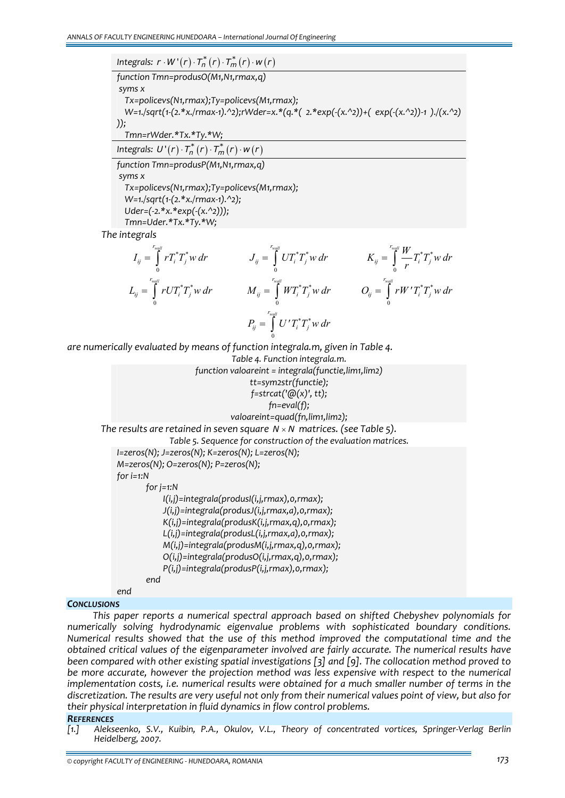$Integrals: \ r \cdot W^*(r) \cdot T_n^*(r) \cdot T_m^*(r) \cdot w(r)$ *function Tmn=produsO(M1,N1,rmax,q) syms x Tx=policevs(N1,rmax);Ty=policevs(M1,rmax); W=1./sqrt(1‐(2.\*x./rmax‐1).^2);rWder=x.\*(q.\*( 2.\*exp(‐(x.^2))+( exp(‐(x.^2))‐1 )./(x.^2) )); Tmn=rWder.\*Tx.\*Ty.\*W;*

 $I$ ntegrals:  $U^{\intercal}(r) \cdot \overline{I}_n^*(r) \cdot \overline{I}_m^*(r) \cdot w(r)$ 

*function Tmn=produsP(M1,N1,rmax,q) syms x Tx=policevs(N1,rmax);Ty=policevs(M1,rmax); W=1./sqrt(1‐(2.\*x./rmax‐1).^2); Uder=(‐2.\*x.\*exp(‐(x.^2)));*

 *Tmn=Uder.\*Tx.\*Ty.\*W;*

*The integrals* 

$$
I_{ij} = \int_{0}^{r_{wall}} r T_{i}^{*} T_{j}^{*} w dr
$$
\n
$$
J_{ij} = \int_{0}^{r_{wall}} U T_{i}^{*} T_{j}^{*} w dr
$$
\n
$$
K_{ij} = \int_{0}^{r_{wall}} \frac{W}{r} T_{i}^{*} T_{j}^{*} w dr
$$
\n
$$
L_{ij} = \int_{0}^{r_{wall}} r U T_{i}^{*} T_{j}^{*} w dr
$$
\n
$$
M_{ij} = \int_{0}^{r_{wall}} W T_{i}^{*} T_{j}^{*} w dr
$$
\n
$$
P_{ij} = \int_{0}^{r_{wall}} U' T_{i}^{*} T_{j}^{*} w dr
$$
\n
$$
P_{ij} = \int_{0}^{r_{wall}} U' T_{i}^{*} T_{j}^{*} w dr
$$

*are numerically evaluated by means of function integrala.m, given in Table 4.*

*Table 4. Function integrala.m. function valoareint = integrala(functie,lim1,lim2) tt=sym2str(functie); f=strcat('@(x)', tt); fn=eval(f); valoareint=quad(fn,lim1,lim2);*

*The results are retained in seven square*  $N \times N$  *matrices.* (see *Table 5*).

*Table 5. Sequence for construction of the evaluation matrices. I=zeros(N); J=zeros(N); K=zeros(N); L=zeros(N); M=zeros(N); O=zeros(N); P=zeros(N); for i=1:N for j=1:N I(i,j)=integrala(produsI(i,j,rmax),0,rmax); J(i,j)=integrala(produsJ(i,j,rmax,a),0,rmax); K(i,j)=integrala(produsK(i,j,rmax,q),0,rmax); L(i,j)=integrala(produsL(i,j,rmax,a),0,rmax);*

*M(i,j)=integrala(produsM(i,j,rmax,q),0,rmax);*

*O(i,j)=integrala(produsO(i,j,rmax,q),0,rmax);*

*P(i,j)=integrala(produsP(i,j,rmax),0,rmax);*

*end*

*end*

#### *CONCLUSIONS*

*This paper reports a numerical spectral approach based on shifted Chebyshev polynomials for numerically solving hydrodynamic eigenvalue problems with sophisticated boundary conditions. Numerical results showed that the use of this method improved the computational time and the obtained critical values of the eigenparameter involved are fairly accurate. The numerical results have been compared with other existing spatial investigations [3] and [9]. The collocation method proved to be more accurate, however the projection method was less expensive with respect to the numerical implementation costs, i.e. numerical results were obtained for a much smaller number of terms in the* discretization. The results are very useful not only from their numerical values point of view, but also for *their physical interpretation in fluid dynamics in flow control problems.*

# **REFERENCES**<br>[1.] Aleks

*[1.] Alekseenko, S.V., Kuibin, P.A., Okulov, V.L., Theory of concentrated vortices, Springer‐Verlag Berlin Heidelberg, 2007.*